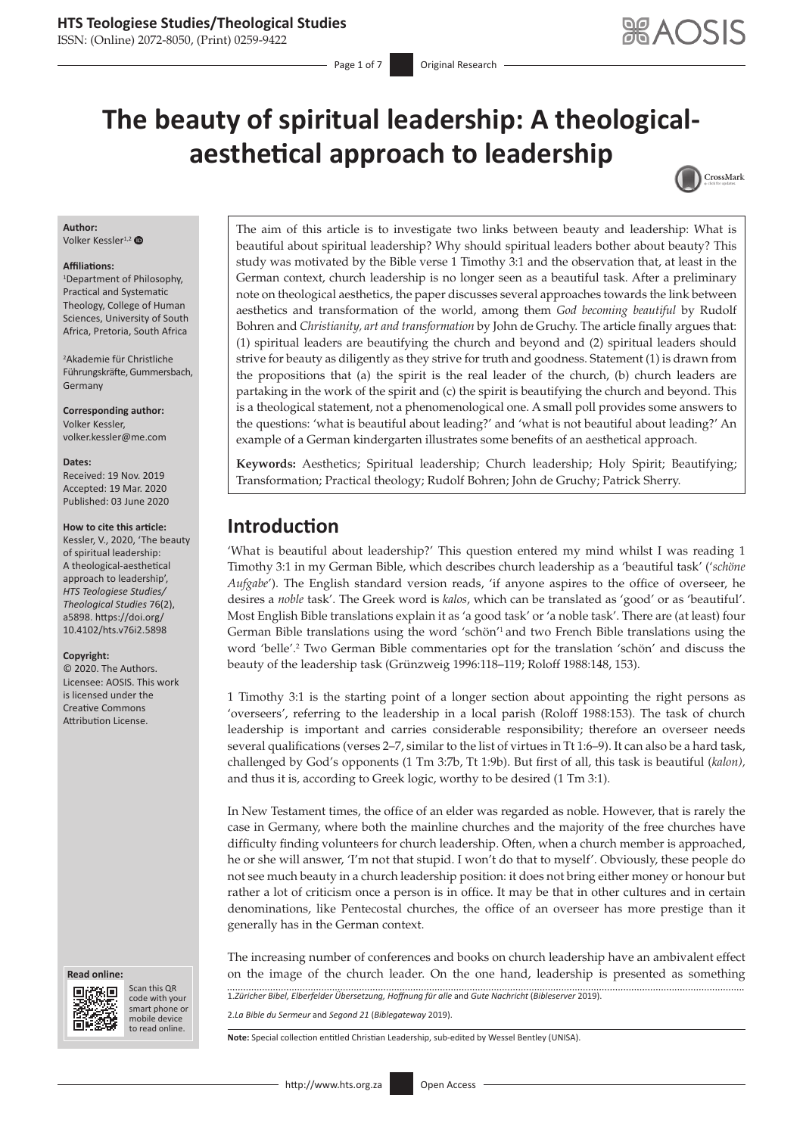ISSN: (Online) 2072-8050, (Print) 0259-9422

# **The beauty of spiritual leadership: A theologicalaesthetical approach to leadership**



### **Author:**

Volker Kessler<sup>1,2</sup>

#### **Affiliations:**

1 Department of Philosophy, Practical and Systematic Theology, College of Human Sciences, University of South Africa, Pretoria, South Africa

2 Akademie für Christliche Führungskräfte, Gummersbach, Germany

**Corresponding author:** Volker Kessler, [volker.kessler@me.com](mailto:volker.kessler@me.com)

#### **Dates:**

Received: 19 Nov. 2019 Accepted: 19 Mar. 2020 Published: 03 June 2020

#### **How to cite this article:**

Kessler, V., 2020, 'The beauty of spiritual leadership: A theological-aesthetical approach to leadership', *HTS Teologiese Studies/ Theological Studies* 76(2), a5898. [https://doi.org/](https://doi.org/10.4102/hts.v76i2.5898) [10.4102/hts.v76i2.5898](https://doi.org/10.4102/hts.v76i2.5898)

#### **Copyright:**

© 2020. The Authors. Licensee: AOSIS. This work is licensed under the Creative Commons Attribution License.

#### **Read online: Read online:**



Scan this QR code with your Scan this QR<br>code with your<br>smart phone or<br>mobile device mobile device to read online. to read online.

The aim of this article is to investigate two links between beauty and leadership: What is beautiful about spiritual leadership? Why should spiritual leaders bother about beauty? This study was motivated by the Bible verse 1 Timothy 3:1 and the observation that, at least in the German context, church leadership is no longer seen as a beautiful task. After a preliminary note on theological aesthetics, the paper discusses several approaches towards the link between aesthetics and transformation of the world, among them *God becoming beautiful* by Rudolf Bohren and *Christianity, art and transformation* by John de Gruchy. The article finally argues that: (1) spiritual leaders are beautifying the church and beyond and (2) spiritual leaders should strive for beauty as diligently as they strive for truth and goodness. Statement (1) is drawn from the propositions that (a) the spirit is the real leader of the church, (b) church leaders are partaking in the work of the spirit and (c) the spirit is beautifying the church and beyond. This is a theological statement, not a phenomenological one. A small poll provides some answers to the questions: 'what is beautiful about leading?' and 'what is not beautiful about leading?' An example of a German kindergarten illustrates some benefits of an aesthetical approach.

**Keywords:** Aesthetics; Spiritual leadership; Church leadership; Holy Spirit; Beautifying; Transformation; Practical theology; Rudolf Bohren; John de Gruchy; Patrick Sherry.

### **Introduction**

'What is beautiful about leadership?' This question entered my mind whilst I was reading 1 Timothy 3:1 in my German Bible, which describes church leadership as a 'beautiful task' ('*schöne Aufgabe*'). The English standard version reads, 'if anyone aspires to the office of overseer, he desires a *noble* task'. The Greek word is *kalos*, which can be translated as 'good' or as 'beautiful'. Most English Bible translations explain it as 'a good task' or 'a noble task'. There are (at least) four German Bible translations using the word 'schön<sup>'1</sup> and two French Bible translations using the word 'belle'.<sup>2</sup> Two German Bible commentaries opt for the translation 'schön' and discuss the beauty of the leadership task (Grünzweig 1996:118–119; Roloff 1988:148, 153).

1 Timothy 3:1 is the starting point of a longer section about appointing the right persons as 'overseers', referring to the leadership in a local parish (Roloff 1988:153). The task of church leadership is important and carries considerable responsibility; therefore an overseer needs several qualifications (verses 2–7, similar to the list of virtues in Tt 1:6–9). It can also be a hard task, challenged by God's opponents (1 Tm 3:7b, Tt 1:9b). But first of all, this task is beautiful (*kalon),* and thus it is, according to Greek logic, worthy to be desired (1 Tm 3:1).

In New Testament times, the office of an elder was regarded as noble. However, that is rarely the case in Germany, where both the mainline churches and the majority of the free churches have difficulty finding volunteers for church leadership. Often, when a church member is approached, he or she will answer, 'I'm not that stupid. I won't do that to myself'. Obviously, these people do not see much beauty in a church leadership position: it does not bring either money or honour but rather a lot of criticism once a person is in office. It may be that in other cultures and in certain denominations, like Pentecostal churches, the office of an overseer has more prestige than it generally has in the German context.

The increasing number of conferences and books on church leadership have an ambivalent effect on the image of the church leader. On the one hand, leadership is presented as something

1.*Züricher Bibel, Elberfelder Übersetzung, Hoffnung für alle* and *Gute Nachricht* (*Bibleserver* 2019).

2.*La Bible du Sermeur* and *Segond 21* (*Biblegateway* 2019).

**Note:** Special collection entitled Christian Leadership, sub-edited by Wessel Bentley (UNISA).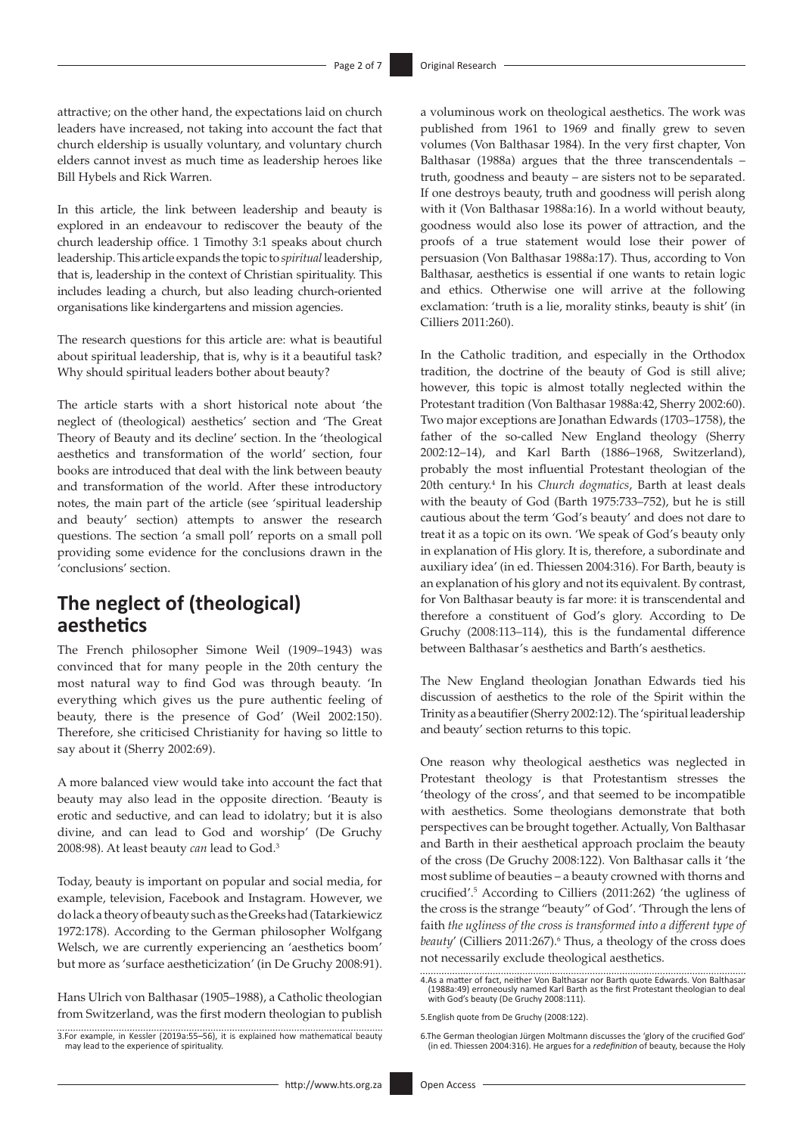attractive; on the other hand, the expectations laid on church leaders have increased, not taking into account the fact that church eldership is usually voluntary, and voluntary church elders cannot invest as much time as leadership heroes like Bill Hybels and Rick Warren.

In this article, the link between leadership and beauty is explored in an endeavour to rediscover the beauty of the church leadership office. 1 Timothy 3:1 speaks about church leadership. This article expands the topic to *spiritual* leadership, that is, leadership in the context of Christian spirituality. This includes leading a church, but also leading church-oriented organisations like kindergartens and mission agencies.

The research questions for this article are: what is beautiful about spiritual leadership, that is, why is it a beautiful task? Why should spiritual leaders bother about beauty?

The article starts with a short historical note about 'the neglect of (theological) aesthetics' section and 'The Great Theory of Beauty and its decline' section. In the 'theological aesthetics and transformation of the world' section, four books are introduced that deal with the link between beauty and transformation of the world. After these introductory notes, the main part of the article (see 'spiritual leadership and beauty' section) attempts to answer the research questions. The section 'a small poll' reports on a small poll providing some evidence for the conclusions drawn in the 'conclusions' section.

# **The neglect of (theological) aesthetics**

The French philosopher Simone Weil (1909–1943) was convinced that for many people in the 20th century the most natural way to find God was through beauty. 'In everything which gives us the pure authentic feeling of beauty, there is the presence of God' (Weil 2002:150). Therefore, she criticised Christianity for having so little to say about it (Sherry 2002:69).

A more balanced view would take into account the fact that beauty may also lead in the opposite direction. 'Beauty is erotic and seductive, and can lead to idolatry; but it is also divine, and can lead to God and worship' (De Gruchy 2008:98). At least beauty *can* lead to God.3

Today, beauty is important on popular and social media, for example, television, Facebook and Instagram. However, we do lack a theory of beauty such as the Greeks had (Tatarkiewicz 1972:178). According to the German philosopher Wolfgang Welsch, we are currently experiencing an 'aesthetics boom' but more as 'surface aestheticization' (in De Gruchy 2008:91).

Hans Ulrich von Balthasar (1905–1988), a Catholic theologian from Switzerland, was the first modern theologian to publish a voluminous work on theological aesthetics. The work was published from 1961 to 1969 and finally grew to seven volumes (Von Balthasar 1984). In the very first chapter, Von Balthasar (1988a) argues that the three transcendentals – truth, goodness and beauty – are sisters not to be separated. If one destroys beauty, truth and goodness will perish along with it (Von Balthasar 1988a:16). In a world without beauty, goodness would also lose its power of attraction, and the proofs of a true statement would lose their power of persuasion (Von Balthasar 1988a:17). Thus, according to Von Balthasar, aesthetics is essential if one wants to retain logic and ethics. Otherwise one will arrive at the following exclamation: 'truth is a lie, morality stinks, beauty is shit' (in Cilliers 2011:260).

In the Catholic tradition, and especially in the Orthodox tradition, the doctrine of the beauty of God is still alive; however, this topic is almost totally neglected within the Protestant tradition (Von Balthasar 1988a:42, Sherry 2002:60). Two major exceptions are Jonathan Edwards (1703–1758), the father of the so-called New England theology (Sherry 2002:12–14), and Karl Barth (1886–1968, Switzerland), probably the most influential Protestant theologian of the 20th century.4 In his *Church dogmatics*, Barth at least deals with the beauty of God (Barth 1975:733–752), but he is still cautious about the term 'God's beauty' and does not dare to treat it as a topic on its own. 'We speak of God's beauty only in explanation of His glory. It is, therefore, a subordinate and auxiliary idea' (in ed. Thiessen 2004:316). For Barth, beauty is an explanation of his glory and not its equivalent. By contrast, for Von Balthasar beauty is far more: it is transcendental and therefore a constituent of God's glory. According to De Gruchy (2008:113–114), this is the fundamental difference between Balthasar's aesthetics and Barth's aesthetics.

The New England theologian Jonathan Edwards tied his discussion of aesthetics to the role of the Spirit within the Trinity as a beautifier (Sherry 2002:12). The 'spiritual leadership and beauty' section returns to this topic.

One reason why theological aesthetics was neglected in Protestant theology is that Protestantism stresses the 'theology of the cross', and that seemed to be incompatible with aesthetics. Some theologians demonstrate that both perspectives can be brought together. Actually, Von Balthasar and Barth in their aesthetical approach proclaim the beauty of the cross (De Gruchy 2008:122). Von Balthasar calls it 'the most sublime of beauties – a beauty crowned with thorns and crucified'.5 According to Cilliers (2011:262) 'the ugliness of the cross is the strange "beauty" of God'. 'Through the lens of faith *the ugliness of the cross is transformed into a different type of*  beauty' (Cilliers 2011:267).<sup>6</sup> Thus, a theology of the cross does not necessarily exclude theological aesthetics.

<sup>3.</sup>For example, in Kessler (2019a:55–56), it is explained how mathematical beauty may lead to the experience of spirituality.

<sup>4.</sup>As a matter of fact, neither Von Balthasar nor Barth quote Edwards. Von Balthasar (1988a:49) erroneously named Karl Barth as the first Protestant theologian to deal with God's beauty (De Gruchy 2008:111).

<sup>5.</sup>English quote from De Gruchy (2008:122).

<sup>6.</sup>The German theologian Jürgen Moltmann discusses the 'glory of the crucified God' (in ed. Thiessen 2004:316). He argues for a *redefinition* of beauty, because the Holy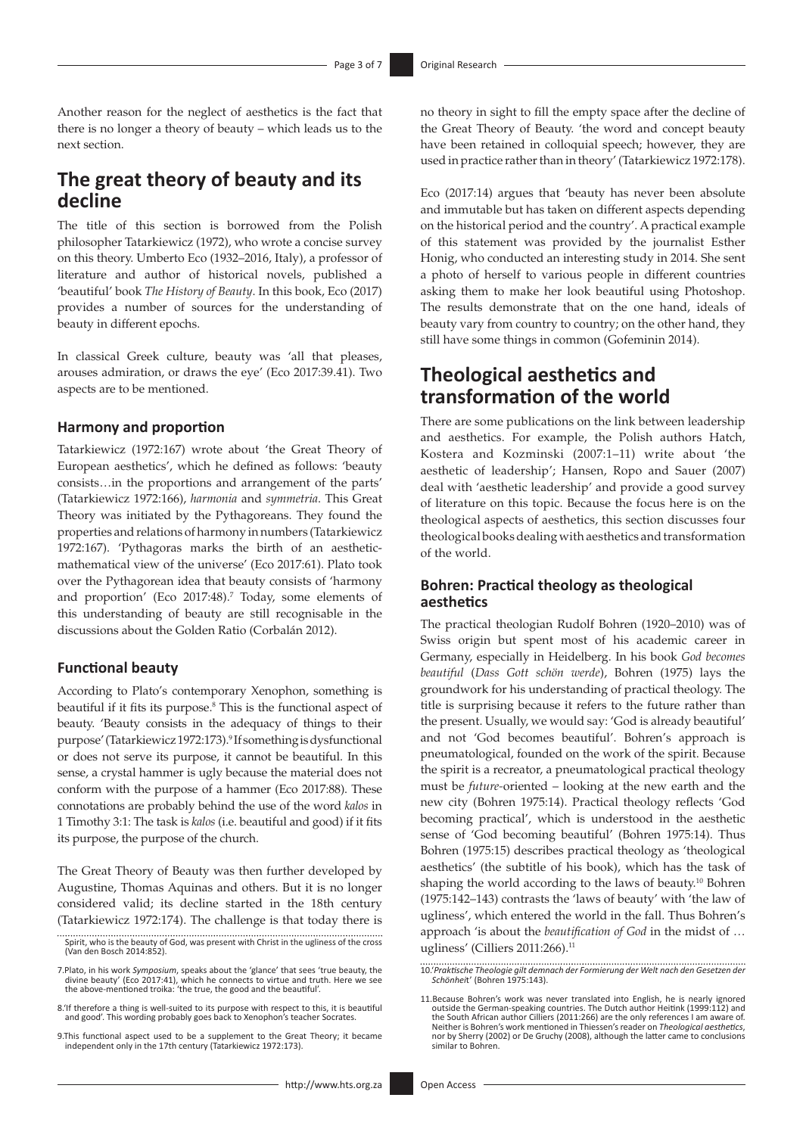Another reason for the neglect of aesthetics is the fact that there is no longer a theory of beauty – which leads us to the next section.

## **The great theory of beauty and its decline**

The title of this section is borrowed from the Polish philosopher Tatarkiewicz (1972), who wrote a concise survey on this theory. Umberto Eco (1932–2016, Italy), a professor of literature and author of historical novels, published a 'beautiful' book *The History of Beauty*. In this book, Eco (2017) provides a number of sources for the understanding of beauty in different epochs.

In classical Greek culture, beauty was 'all that pleases, arouses admiration, or draws the eye' (Eco 2017:39.41). Two aspects are to be mentioned.

#### **Harmony and proportion**

Tatarkiewicz (1972:167) wrote about 'the Great Theory of European aesthetics', which he defined as follows: 'beauty consists…in the proportions and arrangement of the parts' (Tatarkiewicz 1972:166), *harmonia* and *symmetria*. This Great Theory was initiated by the Pythagoreans. They found the properties and relations of harmony in numbers (Tatarkiewicz 1972:167). 'Pythagoras marks the birth of an aestheticmathematical view of the universe' (Eco 2017:61). Plato took over the Pythagorean idea that beauty consists of 'harmony and proportion' (Eco 2017:48).<sup>7</sup> Today, some elements of this understanding of beauty are still recognisable in the discussions about the Golden Ratio (Corbalán 2012).

#### **Functional beauty**

According to Plato's contemporary Xenophon, something is beautiful if it fits its purpose.<sup>8</sup> This is the functional aspect of beauty. 'Beauty consists in the adequacy of things to their purpose' (Tatarkiewicz 1972:173).<sup>9</sup> If something is dysfunctional or does not serve its purpose, it cannot be beautiful. In this sense, a crystal hammer is ugly because the material does not conform with the purpose of a hammer (Eco 2017:88). These connotations are probably behind the use of the word *kalos* in 1 Timothy 3:1: The task is *kalos* (i.e. beautiful and good) if it fits its purpose, the purpose of the church.

The Great Theory of Beauty was then further developed by Augustine, Thomas Aquinas and others. But it is no longer considered valid; its decline started in the 18th century (Tatarkiewicz 1972:174). The challenge is that today there is no theory in sight to fill the empty space after the decline of the Great Theory of Beauty. 'the word and concept beauty have been retained in colloquial speech; however, they are used in practice rather than in theory' (Tatarkiewicz 1972:178).

Eco (2017:14) argues that 'beauty has never been absolute and immutable but has taken on different aspects depending on the historical period and the country'. A practical example of this statement was provided by the journalist Esther Honig, who conducted an interesting study in 2014. She sent a photo of herself to various people in different countries asking them to make her look beautiful using Photoshop. The results demonstrate that on the one hand, ideals of beauty vary from country to country; on the other hand, they still have some things in common (Gofeminin 2014).

### **Theological aesthetics and transformation of the world**

There are some publications on the link between leadership and aesthetics. For example, the Polish authors Hatch, Kostera and Kozminski (2007:1–11) write about 'the aesthetic of leadership'; Hansen, Ropo and Sauer (2007) deal with 'aesthetic leadership' and provide a good survey of literature on this topic. Because the focus here is on the theological aspects of aesthetics, this section discusses four theological books dealing with aesthetics and transformation of the world.

### **Bohren: Practical theology as theological aesthetics**

The practical theologian Rudolf Bohren (1920–2010) was of Swiss origin but spent most of his academic career in Germany, especially in Heidelberg. In his book *God becomes beautiful* (*Dass Gott schön werde*), Bohren (1975) lays the groundwork for his understanding of practical theology. The title is surprising because it refers to the future rather than the present. Usually, we would say: 'God is already beautiful' and not 'God becomes beautiful'. Bohren's approach is pneumatological, founded on the work of the spirit. Because the spirit is a recreator, a pneumatological practical theology must be *future-*oriented – looking at the new earth and the new city (Bohren 1975:14). Practical theology reflects 'God becoming practical', which is understood in the aesthetic sense of 'God becoming beautiful' (Bohren 1975:14). Thus Bohren (1975:15) describes practical theology as 'theological aesthetics' (the subtitle of his book), which has the task of shaping the world according to the laws of beauty.<sup>10</sup> Bohren (1975:142–143) contrasts the 'laws of beauty' with 'the law of ugliness', which entered the world in the fall. Thus Bohren's approach 'is about the *beautification of God* in the midst of … ugliness' (Cilliers 2011:266).<sup>11</sup>

10.'*Praktische Theologie gilt demnach der Formierung der Welt nach den Gesetzen der Schönhei*t' (Bohren 1975:143).

Spirit, who is the beauty of God, was present with Christ in the ugliness of the cross (Van den Bosch 2014:852).

<sup>7.</sup>Plato, in his work *Symposium*, speaks about the 'glance' that sees 'true beauty, the divine beauty' (Eco 2017:41), which he connects to virtue and truth. Here we see the above-mentioned troika: 'the true, the good and the beautiful'.

<sup>8.&#</sup>x27;If therefore a thing is well-suited to its purpose with respect to this, it is beautiful and good'. This wording probably goes back to Xenophon's teacher Socrates.

<sup>9.</sup>This functional aspect used to be a supplement to the Great Theory; it became independent only in the 17th century (Tatarkiewicz 1972:173).

<sup>11.</sup>Because Bohren's work was never translated into English, he is nearly ignored outside the German-speaking countries. The Dutch author Heitink (1999:112) and the South African author Cilliers (2011:266) are the only references I am aware of. Neither is Bohren's work mentioned in Thiessen's reader on *Theological aesthetics*, nor by Sherry (2002) or De Gruchy (2008), although the latter came to conclusions similar to Bohren.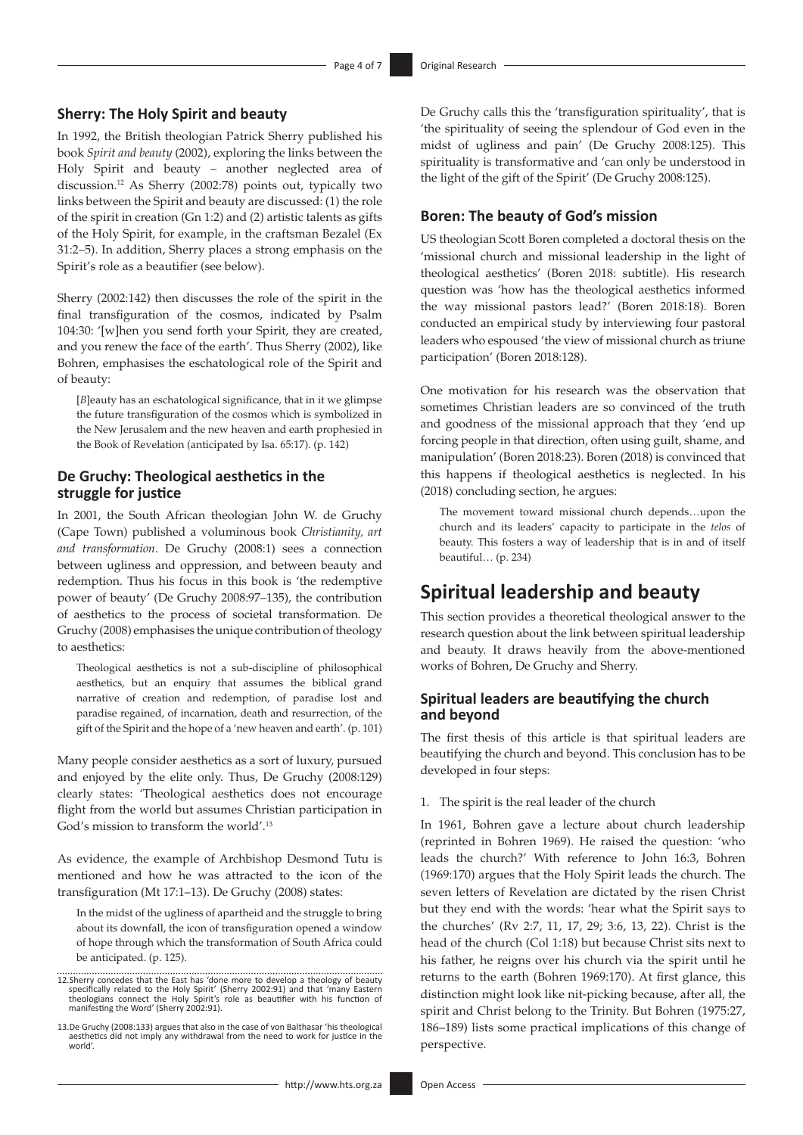### **Sherry: The Holy Spirit and beauty**

In 1992, the British theologian Patrick Sherry published his book *Spirit and beauty* (2002), exploring the links between the Holy Spirit and beauty – another neglected area of discussion.12 As Sherry (2002:78) points out, typically two links between the Spirit and beauty are discussed: (1) the role of the spirit in creation (Gn 1:2) and (2) artistic talents as gifts of the Holy Spirit, for example, in the craftsman Bezalel (Ex 31:2–5). In addition, Sherry places a strong emphasis on the Spirit's role as a beautifier (see below).

Sherry (2002:142) then discusses the role of the spirit in the final transfiguration of the cosmos, indicated by Psalm 104:30: '[w]hen you send forth your Spirit, they are created, and you renew the face of the earth'. Thus Sherry (2002), like Bohren, emphasises the eschatological role of the Spirit and of beauty:

[*B*]eauty has an eschatological significance, that in it we glimpse the future transfiguration of the cosmos which is symbolized in the New Jerusalem and the new heaven and earth prophesied in the Book of Revelation (anticipated by Isa. 65:17). (p. 142)

### **De Gruchy: Theological aesthetics in the struggle for justice**

In 2001, the South African theologian John W. de Gruchy (Cape Town) published a voluminous book *Christianity, art and transformation*. De Gruchy (2008:1) sees a connection between ugliness and oppression, and between beauty and redemption. Thus his focus in this book is 'the redemptive power of beauty' (De Gruchy 2008:97–135), the contribution of aesthetics to the process of societal transformation. De Gruchy (2008) emphasises the unique contribution of theology to aesthetics:

Theological aesthetics is not a sub-discipline of philosophical aesthetics, but an enquiry that assumes the biblical grand narrative of creation and redemption, of paradise lost and paradise regained, of incarnation, death and resurrection, of the gift of the Spirit and the hope of a 'new heaven and earth'. (p. 101)

Many people consider aesthetics as a sort of luxury, pursued and enjoyed by the elite only. Thus, De Gruchy (2008:129) clearly states: 'Theological aesthetics does not encourage flight from the world but assumes Christian participation in God's mission to transform the world'.13

As evidence, the example of Archbishop Desmond Tutu is mentioned and how he was attracted to the icon of the transfiguration (Mt 17:1–13). De Gruchy (2008) states:

In the midst of the ugliness of apartheid and the struggle to bring about its downfall, the icon of transfiguration opened a window of hope through which the transformation of South Africa could be anticipated. (p. 125).

De Gruchy calls this the 'transfiguration spirituality', that is 'the spirituality of seeing the splendour of God even in the midst of ugliness and pain' (De Gruchy 2008:125). This spirituality is transformative and 'can only be understood in the light of the gift of the Spirit' (De Gruchy 2008:125).

### **Boren: The beauty of God's mission**

US theologian Scott Boren completed a doctoral thesis on the 'missional church and missional leadership in the light of theological aesthetics' (Boren 2018: subtitle). His research question was 'how has the theological aesthetics informed the way missional pastors lead?' (Boren 2018:18). Boren conducted an empirical study by interviewing four pastoral leaders who espoused 'the view of missional church as triune participation' (Boren 2018:128).

One motivation for his research was the observation that sometimes Christian leaders are so convinced of the truth and goodness of the missional approach that they 'end up forcing people in that direction, often using guilt, shame, and manipulation' (Boren 2018:23). Boren (2018) is convinced that this happens if theological aesthetics is neglected. In his (2018) concluding section, he argues:

The movement toward missional church depends…upon the church and its leaders' capacity to participate in the *telos* of beauty. This fosters a way of leadership that is in and of itself beautiful… (p. 234)

### **Spiritual leadership and beauty**

This section provides a theoretical theological answer to the research question about the link between spiritual leadership and beauty. It draws heavily from the above-mentioned works of Bohren, De Gruchy and Sherry.

### **Spiritual leaders are beautifying the church and beyond**

The first thesis of this article is that spiritual leaders are beautifying the church and beyond. This conclusion has to be developed in four steps:

1. The spirit is the real leader of the church

In 1961, Bohren gave a lecture about church leadership (reprinted in Bohren 1969). He raised the question: 'who leads the church?' With reference to John 16:3, Bohren (1969:170) argues that the Holy Spirit leads the church. The seven letters of Revelation are dictated by the risen Christ but they end with the words: 'hear what the Spirit says to the churches' (Rv 2:7, 11, 17, 29; 3:6, 13, 22). Christ is the head of the church (Col 1:18) but because Christ sits next to his father, he reigns over his church via the spirit until he returns to the earth (Bohren 1969:170). At first glance, this distinction might look like nit-picking because, after all, the spirit and Christ belong to the Trinity. But Bohren (1975:27, 186–189) lists some practical implications of this change of perspective.

<sup>12.</sup>Sherry concedes that the East has 'done more to develop a theology of beauty specifically related to the Holy Spirit' (Sherry 2002:91) and that 'many Eastern theologians connect the Holy Spirit's role as beautifier with his function of manifesting the Word' (Sherry 2002:91).

<sup>13.</sup>De Gruchy (2008:133) argues that also in the case of von Balthasar 'his theological aesthetics did not imply any withdrawal from the need to work for justice in the world'.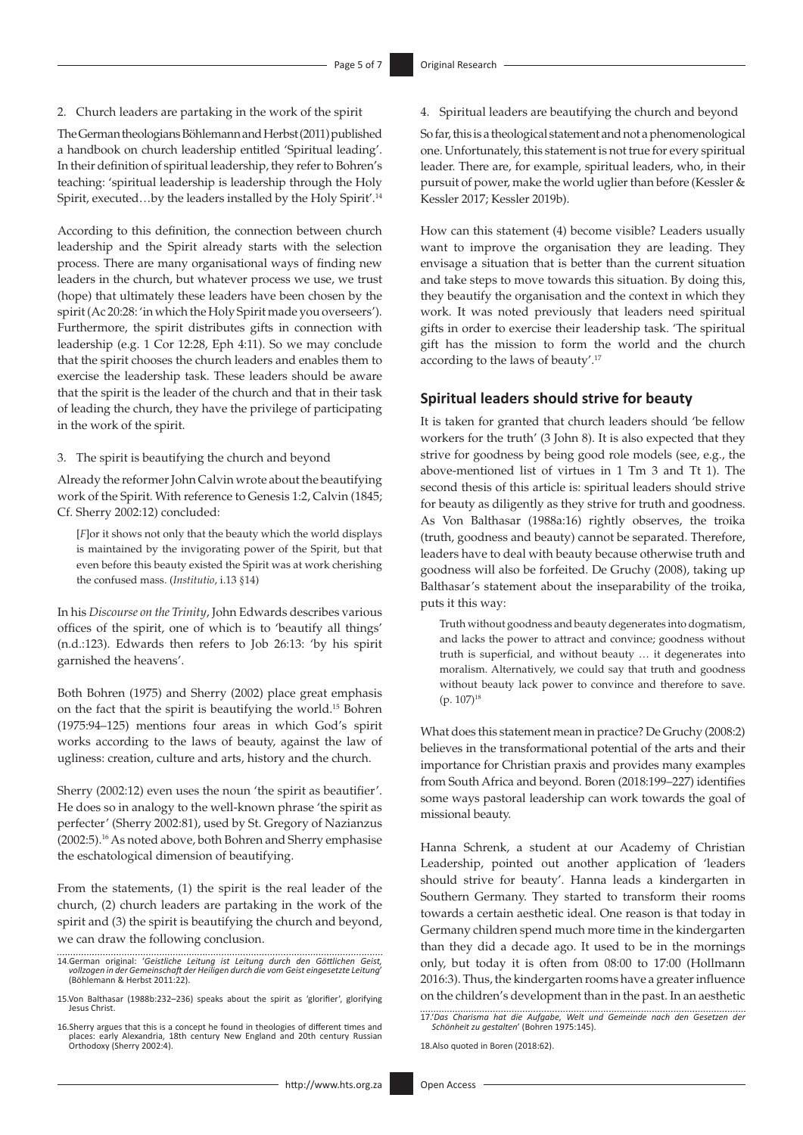2. Church leaders are partaking in the work of the spirit

The German theologians Böhlemann and Herbst (2011) published a handbook on church leadership entitled 'Spiritual leading'. In their definition of spiritual leadership, they refer to Bohren's teaching: 'spiritual leadership is leadership through the Holy Spirit, executed…by the leaders installed by the Holy Spirit'.14

According to this definition, the connection between church leadership and the Spirit already starts with the selection process. There are many organisational ways of finding new leaders in the church, but whatever process we use, we trust (hope) that ultimately these leaders have been chosen by the spirit (Ac 20:28: 'in which the Holy Spirit made you overseers'). Furthermore, the spirit distributes gifts in connection with leadership (e.g. 1 Cor 12:28, Eph 4:11). So we may conclude that the spirit chooses the church leaders and enables them to exercise the leadership task. These leaders should be aware that the spirit is the leader of the church and that in their task of leading the church, they have the privilege of participating in the work of the spirit.

3. The spirit is beautifying the church and beyond

Already the reformer John Calvin wrote about the beautifying work of the Spirit. With reference to Genesis 1:2, Calvin (1845; Cf. Sherry 2002:12) concluded:

[*F*]or it shows not only that the beauty which the world displays is maintained by the invigorating power of the Spirit, but that even before this beauty existed the Spirit was at work cherishing the confused mass. (*Institutio*, i.13 §14)

In his *Discourse on the Trinity*, John Edwards describes various offices of the spirit, one of which is to 'beautify all things' (n.d.:123). Edwards then refers to Job 26:13: 'by his spirit garnished the heavens'.

Both Bohren (1975) and Sherry (2002) place great emphasis on the fact that the spirit is beautifying the world.15 Bohren (1975:94–125) mentions four areas in which God's spirit works according to the laws of beauty, against the law of ugliness: creation, culture and arts, history and the church.

Sherry (2002:12) even uses the noun 'the spirit as beautifier'. He does so in analogy to the well-known phrase 'the spirit as perfecter' (Sherry 2002:81), used by St. Gregory of Nazianzus (2002:5).16 As noted above, both Bohren and Sherry emphasise the eschatological dimension of beautifying.

From the statements, (1) the spirit is the real leader of the church, (2) church leaders are partaking in the work of the spirit and (3) the spirit is beautifying the church and beyond, we can draw the following conclusion.

14.German original: '*Geistliche Leitung ist Leitung durch den Göttlichen Geist, vollzogen in der Gemeinschaft der Heiligen durch die vom Geist eingesetzte Leitung*' (Böhlemann & Herbst 2011:22).

16.Sherry argues that this is a concept he found in theologies of different times and places: early Alexandria, 18th century New England and 20th century Russian Orthodoxy (Sherry 2002:4).

4. Spiritual leaders are beautifying the church and beyond

So far, this is a theological statement and not a phenomenological one. Unfortunately, this statement is not true for every spiritual leader. There are, for example, spiritual leaders, who, in their pursuit of power, make the world uglier than before (Kessler & Kessler 2017; Kessler 2019b).

How can this statement (4) become visible? Leaders usually want to improve the organisation they are leading. They envisage a situation that is better than the current situation and take steps to move towards this situation. By doing this, they beautify the organisation and the context in which they work. It was noted previously that leaders need spiritual gifts in order to exercise their leadership task. 'The spiritual gift has the mission to form the world and the church according to the laws of beauty'.17

#### **Spiritual leaders should strive for beauty**

It is taken for granted that church leaders should 'be fellow workers for the truth' (3 John 8). It is also expected that they strive for goodness by being good role models (see, e.g., the above-mentioned list of virtues in 1 Tm 3 and Tt 1). The second thesis of this article is: spiritual leaders should strive for beauty as diligently as they strive for truth and goodness. As Von Balthasar (1988a:16) rightly observes, the troika (truth, goodness and beauty) cannot be separated. Therefore, leaders have to deal with beauty because otherwise truth and goodness will also be forfeited. De Gruchy (2008), taking up Balthasar's statement about the inseparability of the troika, puts it this way:

Truth without goodness and beauty degenerates into dogmatism, and lacks the power to attract and convince; goodness without truth is superficial, and without beauty … it degenerates into moralism. Alternatively, we could say that truth and goodness without beauty lack power to convince and therefore to save.  $(p. 107)^{18}$ 

What does this statement mean in practice? De Gruchy (2008:2) believes in the transformational potential of the arts and their importance for Christian praxis and provides many examples from South Africa and beyond. Boren (2018:199–227) identifies some ways pastoral leadership can work towards the goal of missional beauty.

Hanna Schrenk, a student at our Academy of Christian Leadership, pointed out another application of 'leaders should strive for beauty'. Hanna leads a kindergarten in Southern Germany. They started to transform their rooms towards a certain aesthetic ideal. One reason is that today in Germany children spend much more time in the kindergarten than they did a decade ago. It used to be in the mornings only, but today it is often from 08:00 to 17:00 (Hollmann 2016:3). Thus, the kindergarten rooms have a greater influence on the children's development than in the past. In an aesthetic

18.Also quoted in Boren (2018:62).

<sup>15.</sup>Von Balthasar (1988b:232–236) speaks about the spirit as 'glorifier', glorifying Jesus Christ.

<sup>17.&#</sup>x27;*Das Charisma hat die Aufgabe, Welt und Gemeinde nach den Gesetzen der Schönheit zu gestalten*' (Bohren 1975:145).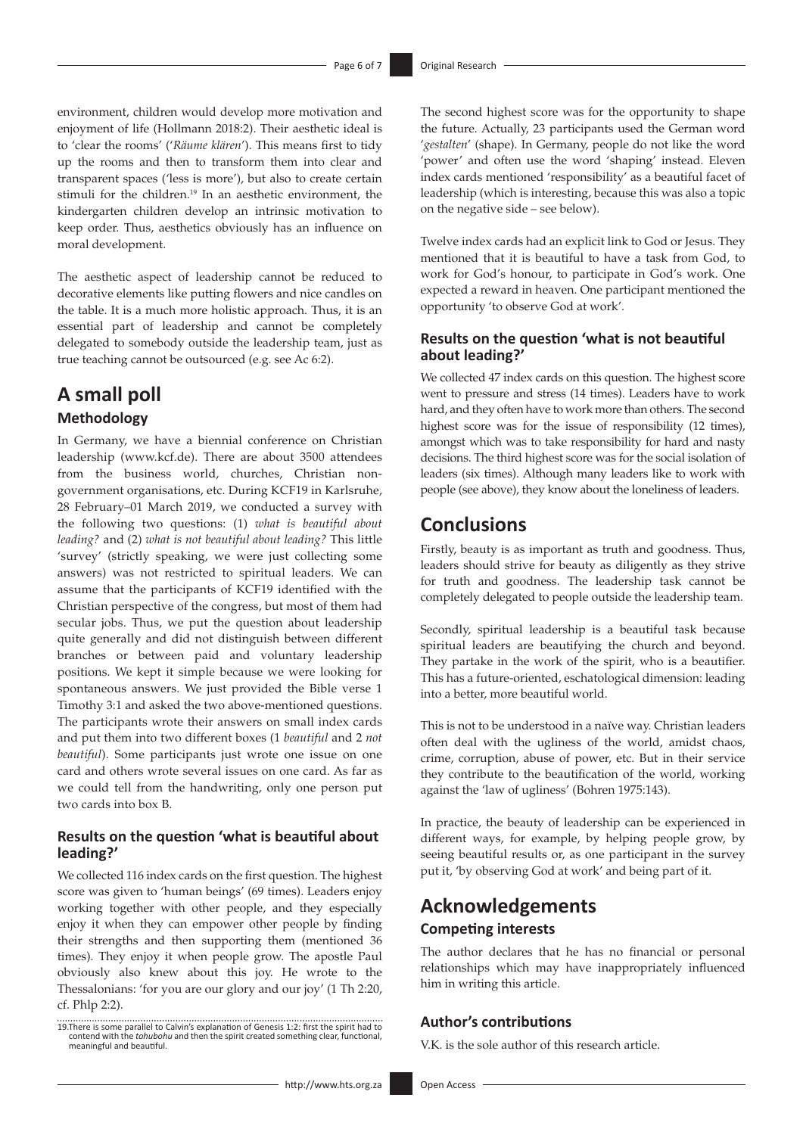environment, children would develop more motivation and enjoyment of life (Hollmann 2018:2). Their aesthetic ideal is to 'clear the rooms' ('*Räume klären*'). This means first to tidy up the rooms and then to transform them into clear and transparent spaces ('less is more'), but also to create certain stimuli for the children.19 In an aesthetic environment, the kindergarten children develop an intrinsic motivation to keep order. Thus, aesthetics obviously has an influence on moral development.

The aesthetic aspect of leadership cannot be reduced to decorative elements like putting flowers and nice candles on the table. It is a much more holistic approach. Thus, it is an essential part of leadership and cannot be completely delegated to somebody outside the leadership team, just as true teaching cannot be outsourced (e.g. see Ac 6:2).

# **A small poll**

### **Methodology**

In Germany, we have a biennial conference on Christian leadership (<www.kcf.de>). There are about 3500 attendees from the business world, churches, Christian nongovernment organisations, etc. During KCF19 in Karlsruhe, 28 February–01 March 2019, we conducted a survey with the following two questions: (1) *what is beautiful about leading?* and (2) *what is not beautiful about leading?* This little 'survey' (strictly speaking, we were just collecting some answers) was not restricted to spiritual leaders. We can assume that the participants of KCF19 identified with the Christian perspective of the congress, but most of them had secular jobs. Thus, we put the question about leadership quite generally and did not distinguish between different branches or between paid and voluntary leadership positions. We kept it simple because we were looking for spontaneous answers. We just provided the Bible verse 1 Timothy 3:1 and asked the two above-mentioned questions. The participants wrote their answers on small index cards and put them into two different boxes (1 *beautiful* and 2 *not beautiful*). Some participants just wrote one issue on one card and others wrote several issues on one card. As far as we could tell from the handwriting, only one person put two cards into box B.

### **Results on the question 'what is beautiful about leading?'**

We collected 116 index cards on the first question. The highest score was given to 'human beings' (69 times). Leaders enjoy working together with other people, and they especially enjoy it when they can empower other people by finding their strengths and then supporting them (mentioned 36 times). They enjoy it when people grow. The apostle Paul obviously also knew about this joy. He wrote to the Thessalonians: 'for you are our glory and our joy' (1 Th 2:20, cf. Phlp 2:2).

19.There is some parallel to Calvin's explanation of Genesis 1:2: first the spirit had to contend with the *tohubohu* and then the spirit created something clear, functional, meaningful and beautiful.

The second highest score was for the opportunity to shape the future. Actually, 23 participants used the German word '*gestalten*' (shape). In Germany, people do not like the word 'power' and often use the word 'shaping' instead. Eleven index cards mentioned 'responsibility' as a beautiful facet of leadership (which is interesting, because this was also a topic on the negative side – see below).

Twelve index cards had an explicit link to God or Jesus. They mentioned that it is beautiful to have a task from God, to work for God's honour, to participate in God's work. One expected a reward in heaven. One participant mentioned the opportunity 'to observe God at work'.

### **Results on the question 'what is not beautiful about leading?'**

We collected 47 index cards on this question. The highest score went to pressure and stress (14 times). Leaders have to work hard, and they often have to work more than others. The second highest score was for the issue of responsibility (12 times), amongst which was to take responsibility for hard and nasty decisions. The third highest score was for the social isolation of leaders (six times). Although many leaders like to work with people (see above), they know about the loneliness of leaders.

# **Conclusions**

Firstly, beauty is as important as truth and goodness. Thus, leaders should strive for beauty as diligently as they strive for truth and goodness. The leadership task cannot be completely delegated to people outside the leadership team.

Secondly, spiritual leadership is a beautiful task because spiritual leaders are beautifying the church and beyond. They partake in the work of the spirit, who is a beautifier. This has a future-oriented, eschatological dimension: leading into a better, more beautiful world.

This is not to be understood in a naïve way. Christian leaders often deal with the ugliness of the world, amidst chaos, crime, corruption, abuse of power, etc. But in their service they contribute to the beautification of the world, working against the 'law of ugliness' (Bohren 1975:143).

In practice, the beauty of leadership can be experienced in different ways, for example, by helping people grow, by seeing beautiful results or, as one participant in the survey put it, 'by observing God at work' and being part of it.

# **Acknowledgements Competing interests**

The author declares that he has no financial or personal relationships which may have inappropriately influenced him in writing this article.

### **Author's contributions**

V.K. is the sole author of this research article.